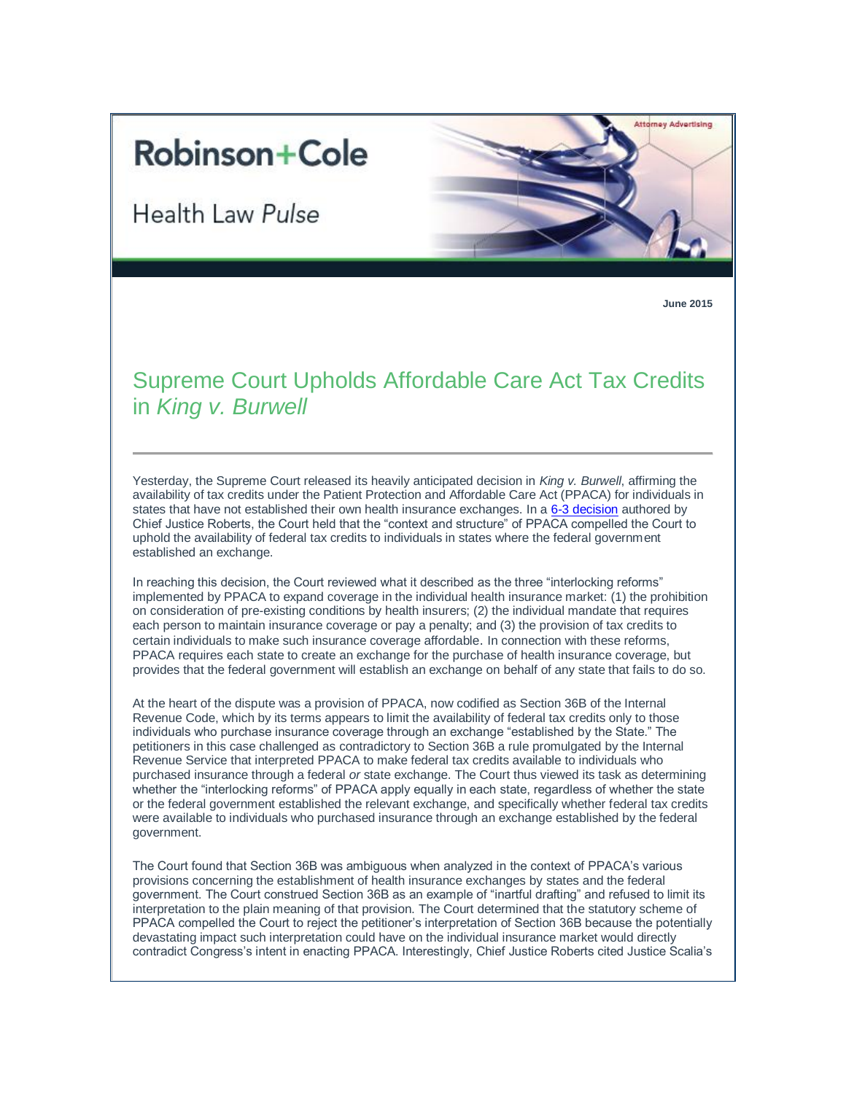## **Robinson+Cole**

**Health Law Pulse** 



**June 2015**

## Supreme Court Upholds Affordable Care Act Tax Credits in *King v. Burwell*

Yesterday, the Supreme Court released its heavily anticipated decision in *King v. Burwell*, affirming the availability of tax credits under the Patient Protection and Affordable Care Act (PPACA) for individuals in states that have not established their own health insurance exchanges. In a [6-3 decision](http://www.supremecourt.gov/opinions/14pdf/14-114_qol1.pdf) authored by Chief Justice Roberts, the Court held that the "context and structure" of PPACA compelled the Court to uphold the availability of federal tax credits to individuals in states where the federal government established an exchange.

In reaching this decision, the Court reviewed what it described as the three "interlocking reforms" implemented by PPACA to expand coverage in the individual health insurance market: (1) the prohibition on consideration of pre-existing conditions by health insurers; (2) the individual mandate that requires each person to maintain insurance coverage or pay a penalty; and (3) the provision of tax credits to certain individuals to make such insurance coverage affordable. In connection with these reforms, PPACA requires each state to create an exchange for the purchase of health insurance coverage, but provides that the federal government will establish an exchange on behalf of any state that fails to do so.

At the heart of the dispute was a provision of PPACA, now codified as Section 36B of the Internal Revenue Code, which by its terms appears to limit the availability of federal tax credits only to those individuals who purchase insurance coverage through an exchange "established by the State." The petitioners in this case challenged as contradictory to Section 36B a rule promulgated by the Internal Revenue Service that interpreted PPACA to make federal tax credits available to individuals who purchased insurance through a federal *or* state exchange. The Court thus viewed its task as determining whether the "interlocking reforms" of PPACA apply equally in each state, regardless of whether the state or the federal government established the relevant exchange, and specifically whether federal tax credits were available to individuals who purchased insurance through an exchange established by the federal government.

The Court found that Section 36B was ambiguous when analyzed in the context of PPACA's various provisions concerning the establishment of health insurance exchanges by states and the federal government. The Court construed Section 36B as an example of "inartful drafting" and refused to limit its interpretation to the plain meaning of that provision. The Court determined that the statutory scheme of PPACA compelled the Court to reject the petitioner's interpretation of Section 36B because the potentially devastating impact such interpretation could have on the individual insurance market would directly contradict Congress's intent in enacting PPACA. Interestingly, Chief Justice Roberts cited Justice Scalia's